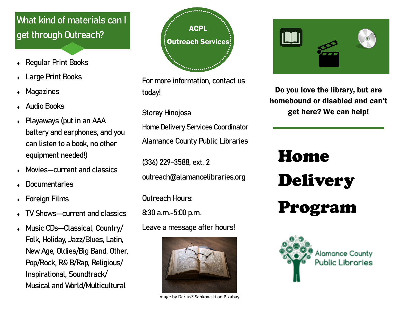## What kind of materials can I get through Outreach?

- Regular Print Books
- Large Print Books
- Magazines
- Audio Books
- Playaways (put in an AAA battery and earphones, and you can listen to a book, no other equipment needed!)
- Movies—current and classics
- **Documentaries**
- Foreign Films
- TV Shows—current and classics
- Music CDs—Classical, Country/ Folk, Holiday, Jazz/Blues, Latin, New Age, Oldies/Big Band, Other, Pop/Rock, R& B/Rap, Religious/ Inspirational, Soundtrack/ Musical and World/Multicultural



For more information, contact us today!

Storey Hinojosa

Home Delivery Services Coordinator Alamance County Public Libraries

(336) 229-3588, ext. 2 outreach@alamancelibraries.org

Outreach Hours:

8:30 a.m.-5:00 p.m.

Leave a message after hours!



Image by DariusZ Sankowski on Pixabay



Do you love the library, but are homebound or disabled and can't get here? We can help!

# Home Delivery Program